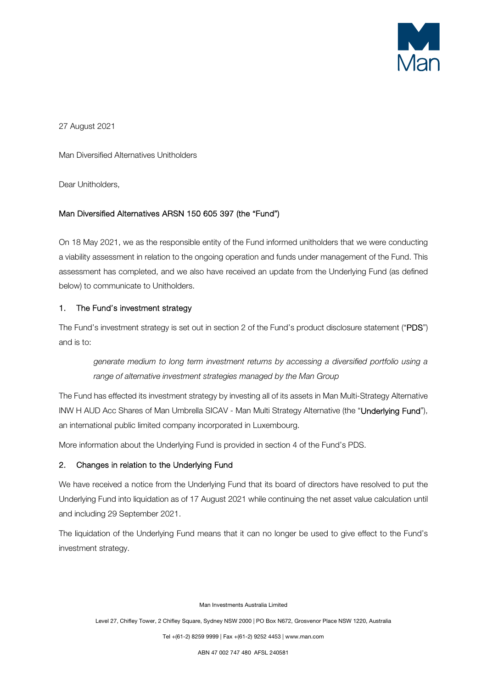

27 August 2021

Man Diversified Alternatives Unitholders

Dear Unitholders,

# Man Diversified Alternatives ARSN 150 605 397 (the "Fund")

On 18 May 2021, we as the responsible entity of the Fund informed unitholders that we were conducting a viability assessment in relation to the ongoing operation and funds under management of the Fund. This assessment has completed, and we also have received an update from the Underlying Fund (as defined below) to communicate to Unitholders.

# 1. The Fund's investment strategy

The Fund's investment strategy is set out in section 2 of the Fund's product disclosure statement ("PDS") and is to:

generate medium to long term investment returns by accessing a diversified portfolio using a range of alternative investment strategies managed by the Man Group

The Fund has effected its investment strategy by investing all of its assets in Man Multi-Strategy Alternative INW H AUD Acc Shares of Man Umbrella SICAV - Man Multi Strategy Alternative (the "Underlying Fund"), an international public limited company incorporated in Luxembourg.

More information about the Underlying Fund is provided in section 4 of the Fund's PDS.

# 2. Changes in relation to the Underlying Fund

We have received a notice from the Underlying Fund that its board of directors have resolved to put the Underlying Fund into liquidation as of 17 August 2021 while continuing the net asset value calculation until and including 29 September 2021.

The liquidation of the Underlying Fund means that it can no longer be used to give effect to the Fund's investment strategy.

Man Investments Australia Limited

Level 27, Chifley Tower, 2 Chifley Square, Sydney NSW 2000 | PO Box N672, Grosvenor Place NSW 1220, Australia

Tel +(61-2) 8259 9999 | Fax +(61-2) 9252 4453 | www.man.com

ABN 47 002 747 480 AFSL 240581